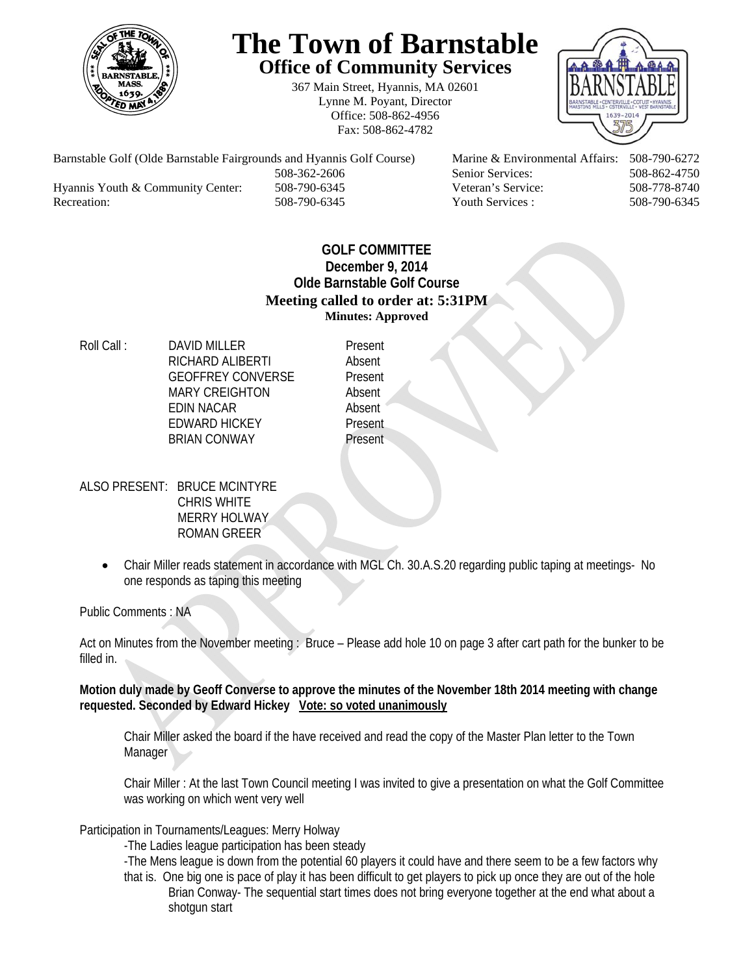

## **The Town of Barnstable Office of Community Services**

367 Main Street, Hyannis, MA 02601 Lynne M. Poyant, Director Office: 508-862-4956 Fax: 508-862-4782



Barnstable Golf (Olde Barnstable Fairgrounds and Hyannis Golf Course) Marine & Environmental Affairs: 508-790-6272 508-362-2606 Senior Services: 508-862-4750 Hyannis Youth & Community Center: 508-790-6345 Veteran's Service: 508-778-8740 Recreation: 508-790-6345 Youth Services : 508-790-6345 S08-790-6345

## **GOLF COMMITTEE December 9, 2014 Olde Barnstable Golf Course Meeting called to order at: 5:31PM Minutes: Approved**

Roll Call : DAVID MILLER Present RICHARD ALIBERTI Absent GEOFFREY CONVERSE Present MARY CREIGHTON Absent EDIN NACAR Absent EDWARD HICKEY Present BRIAN CONWAY Present

- ALSO PRESENT: BRUCE MCINTYRE CHRIS WHITE MERRY HOLWAY ROMAN GREER
	- Chair Miller reads statement in accordance with MGL Ch. 30.A.S.20 regarding public taping at meetings- No one responds as taping this meeting

Public Comments : NA

Act on Minutes from the November meeting : Bruce – Please add hole 10 on page 3 after cart path for the bunker to be filled in.

**Motion duly made by Geoff Converse to approve the minutes of the November 18th 2014 meeting with change requested. Seconded by Edward Hickey Vote: so voted unanimously**

Chair Miller asked the board if the have received and read the copy of the Master Plan letter to the Town **Manager** 

Chair Miller : At the last Town Council meeting I was invited to give a presentation on what the Golf Committee was working on which went very well

Participation in Tournaments/Leagues: Merry Holway

-The Ladies league participation has been steady

-The Mens league is down from the potential 60 players it could have and there seem to be a few factors why that is. One big one is pace of play it has been difficult to get players to pick up once they are out of the hole Brian Conway- The sequential start times does not bring everyone together at the end what about a shotgun start